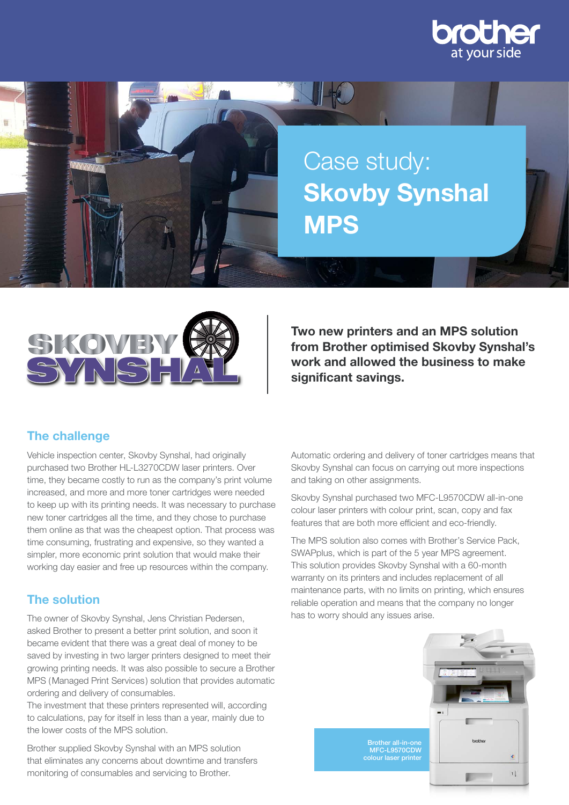





Two new printers and an MPS solution from Brother optimised Skovby Synshal's work and allowed the business to make significant savings.

# The challenge

Vehicle inspection center, Skovby Synshal, had originally purchased two Brother HL-L3270CDW laser printers. Over time, they became costly to run as the company's print volume increased, and more and more toner cartridges were needed to keep up with its printing needs. It was necessary to purchase new toner cartridges all the time, and they chose to purchase them online as that was the cheapest option. That process was time consuming, frustrating and expensive, so they wanted a simpler, more economic print solution that would make their working day easier and free up resources within the company.

## The solution

The owner of Skovby Synshal, Jens Christian Pedersen, asked Brother to present a better print solution, and soon it became evident that there was a great deal of money to be saved by investing in two larger printers designed to meet their growing printing needs. It was also possible to secure a Brother MPS (Managed Print Services ) solution that provides automatic ordering and delivery of consumables.

The investment that these printers represented will, according to calculations, pay for itself in less than a year, mainly due to the lower costs of the MPS solution.

Brother supplied Skovby Synshal with an MPS solution that eliminates any concerns about downtime and transfers monitoring of consumables and servicing to Brother.

Automatic ordering and delivery of toner cartridges means that Skovby Synshal can focus on carrying out more inspections and taking on other assignments.

Skovby Synshal purchased two MFC-L9570CDW all-in-one colour laser printers with colour print, scan, copy and fax features that are both more efficient and eco-friendly.

The MPS solution also comes with Brother's Service Pack, SWAPplus, which is part of the 5 year MPS agreement. This solution provides Skovby Synshal with a 60-month warranty on its printers and includes replacement of all maintenance parts, with no limits on printing, which ensures reliable operation and means that the company no longer has to worry should any issues arise.

> Brother all-in-one MFC-L9570CDW colour laser printer